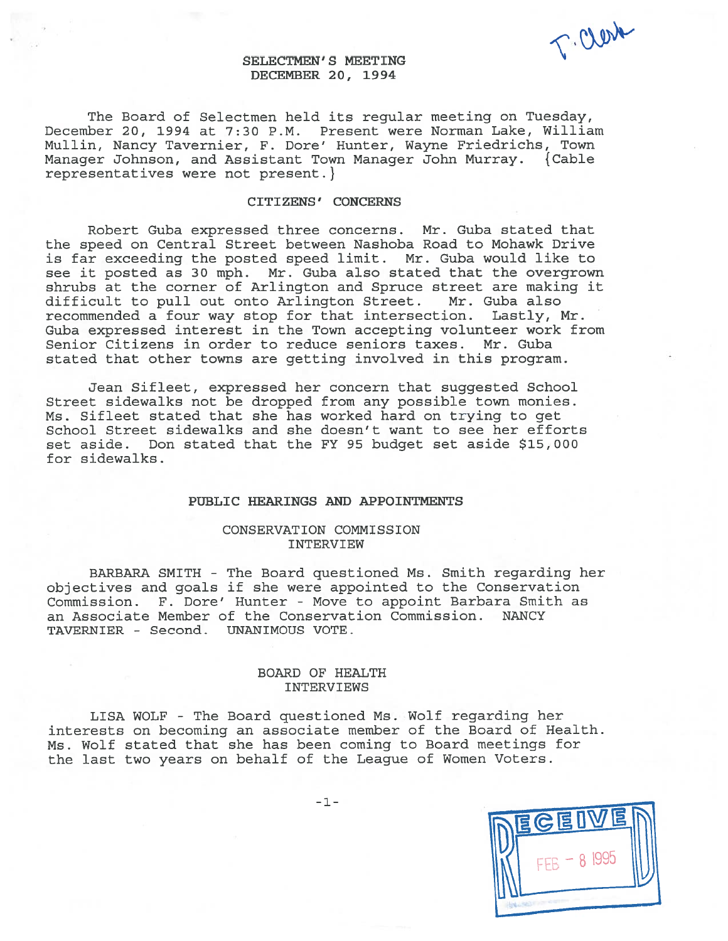T. Clerk

# SELECTMEN'S MEETING DECEMBER 20, 1994

The Board of Selectmen held its regular meeting on Tuesday, December 20, 1994 at 7:30 P.M. Present were Norman Lake, William Mullin, Nancy Tavernier, F. Dore' Hunter, Wayne Friedrichs, Town Manager Johnson, and Assistant Town Manager John Murray. {Cable representatives were not present. }

## CITIZENS' CONCERNS

Robert Guba expressed three concerns. Mr. Guba stated that the speed on Central Street between Nashoba Road to Mohawk Drive is far exceeding the posted speed limit. Mr. Guba would like to see it posted as 30 mph. Mr. Guba also stated that the overgrown shrubs at the corner of Arlington and Spruce street are making it difficult to pull out onto Arlington Street. Mr. Guba also recommended <sup>a</sup> four way stop for that intersection. Lastly, Mr. Guba expressed interest in the Town accepting volunteer work from Senior Citizens in order to reduce seniors taxes. Mr. Guba stated that other towns are getting involved in this program.

Jean Sifleet, expressed her concern that suggested School Street sidewalks not be dropped from any possible town monies. Ms. Sifleet stated that she has worked hard on trying to ge<sup>t</sup> School Street sidewalks and she doesn't want to see her efforts set aside. Don stated that the FY 95 budget set aside \$15,000 for sidewalks.

### PUBLIC HEARINGS AND APPOINTMENTS

## CONSERVATION COMMISSION INTERVIEW

BARBARA SMITH - The Board questioned Ms. Smith regarding her objectives and goals if she were appointed to the Conservation Commission. F. Dore' Hunter - Move to appoint Barbara Smith as an Associate Member of the Conservation Commission. NANCY TAVERNIER - Second. UNANIMOUS VOTE.

# BOARD OF HEALTH INTERVIEWS

LISA WOLF - The Board questioned Ms. Wolf regarding her interests on becoming an associate member of the Board of Health. Ms. Wolf stated that she has been coming to Board meetings for the last two years on behalf of the League of Women Voters.

-1-

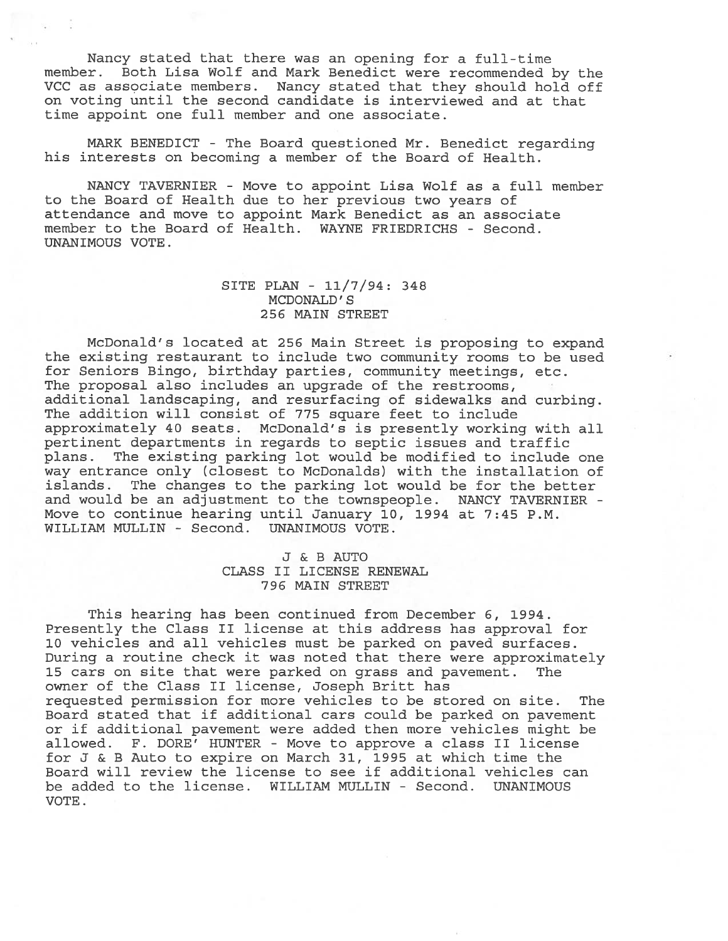Nancy stated that there was an opening for <sup>a</sup> full-time member. Both Lisa Wolf and Mark Benedict were recommended by the VCC as associate members. Nancy stated that they should hold off on voting until the second candidate is interviewed and at that time appoint one full member and one associate.

MARK BENEDICT - The Board questioned Mr. Benedict regarding his interests on becoming <sup>a</sup> member of the Board of Health.

NANCY TAVERNIER - Move to appoint Lisa Wolf as <sup>a</sup> full member to the Board of Health due to her previous two years of attendance and move to appoint Mark Benedict as an associate member to the Board of Health. WAYNE FRIEDRICHS - Second. UNANIMOUS VOTE.

# SITE PLAN - 11/7/94: 348 MCDONALD' S 256 MAIN STREET

McDonald's located at 256 Main Street is proposing to expand the existing restaurant to include two community rooms to be used for Seniors Bingo, birthday parties, community meetings, etc. The proposal also includes an upgrade of the restrooms, additional landscaping, and resurfacing of sidewalks and curbing. The addition will consist of 775 square feet to include approximately 40 seats. McDonald's is presently working with all pertinent departments in regards to septic issues and traffic plans. The existing parking lot would be modified to include one way entrance only (closest to McDonalds) with the installation of islands. The changes to the parking lot would be for the better and would be an adjustment to the townspeople. NANCY TAVERNIER - Move to continue hearing until January 10, 1994 at 7:45 P.M. WILLIAM MULLIN - Second. UNANIMOUS VOTE.

# J & B AUTO CLASS II LICENSE RENEWAL 796 MAIN STREET

This hearing has been continued from December 6, 1994. Presently the Class II license at this address has approval for 10 vehicles and all vehicles must be parked on paved surfaces. During <sup>a</sup> routine check it was noted that there were approximately 15 cars on site that were parked on grass and pavement. The owner of the Class II license, Joseph Britt has requested permission for more vehicles to be stored on site. The Board stated that if additional cars could be parked on pavemen<sup>t</sup> or if additional pavemen<sup>t</sup> were added then more vehicles might be allowed. F. DORE' HUNTER - Move to approve <sup>a</sup> class II license for J & B Auto to expire on March 31, 1995 at which time the Board will review the license to see if additional vehicles can be added to the license. WILLIAM MULLIN - Second. UNANIMOUS VOTE.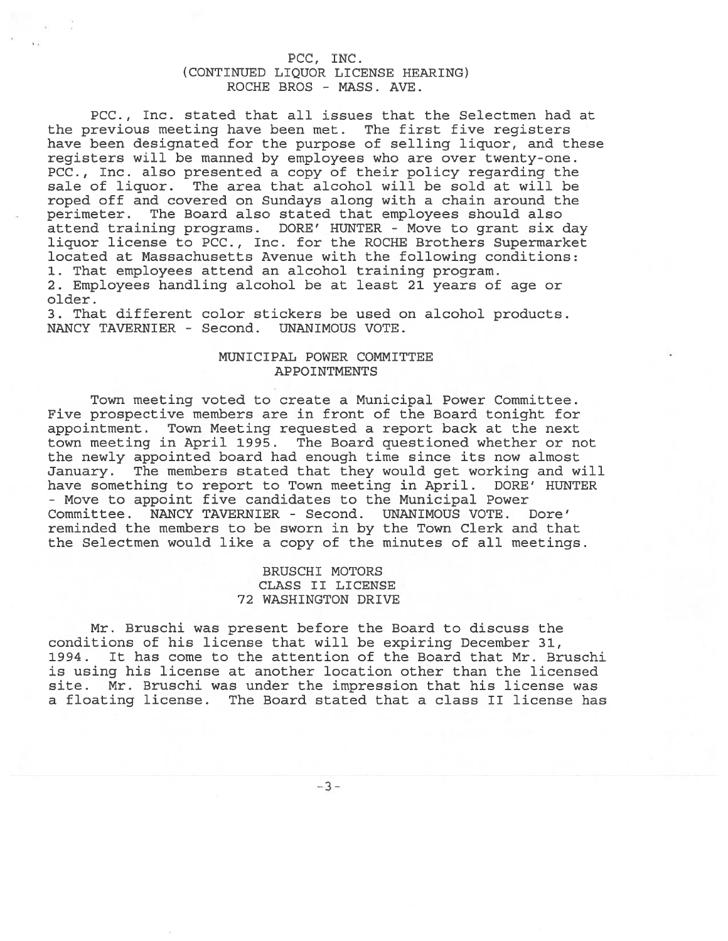# PCC, INC. (CONTINUED LIQUOR LICENSE HEARING) ROCHE BROS - MASS. AVE.

PCC., Inc. stated that all issues that the Selectmen had at the previous meeting have been met. The first five registers have been designated for the purpose of selling liquor, and these registers will be manned by employees who are over twenty-one. PCC., Inc. also presented a copy of their policy regarding the sale of liquor. The area that alcohol will be sold at will be roped off and covered on Sundays along with <sup>a</sup> chain around the perimeter. The Board also stated that employees should also attend training programs. DORE' HUNTER - Move to gran<sup>t</sup> six day liquor license to PCC., Inc. for the ROCHE Brothers Supermarket located at Massachusetts Avenue with the following conditions: 1. That employees attend an alcohol training program. 2. Employees handling alcohol be at least 21 years of age or

older. 3. That different color stickers be used on alcohol products.

NANCY TAVERNIER - Second. UNANIMOUS VOTE.

# MUNICIPAL POWER COMMITTEE APPOINTMENTS

Town meeting voted to create <sup>a</sup> Municipal Power Committee. Five prospective members are in front of the Board tonight for appointment. Town Meeting requested <sup>a</sup> repor<sup>t</sup> back at the next town meeting in April 1995. The Board questioned whether or not the newly appointed board had enough time since its now almost January. The members stated that they would ge<sup>t</sup> working and will have something to repor<sup>t</sup> to Town meeting in April. DORE' HUNTER - Move to appoint five candidates to the Municipal Power Committee. NANCY TAVERNIER - Second. UNANIMOUS VOTE. Dore' reminded the members to be sworn in by the Town Clerk and that the Selectmen would like <sup>a</sup> copy of the minutes of all meetings.

# BRUSCHI MOTORS CLASS II LICENSE 72 WASHINGTON DRIVE

Mr. Bruschi was presen<sup>t</sup> before the Board to discuss the conditions of his license that will be expiring December 31, 1994. It has come to the attention of the Board that Mr. Bruschi is using his license at another location other than the licensed site. Mr. Bruschi was under the impression that his license was <sup>a</sup> floating license. The Board stated that <sup>a</sup> class II license has

-3-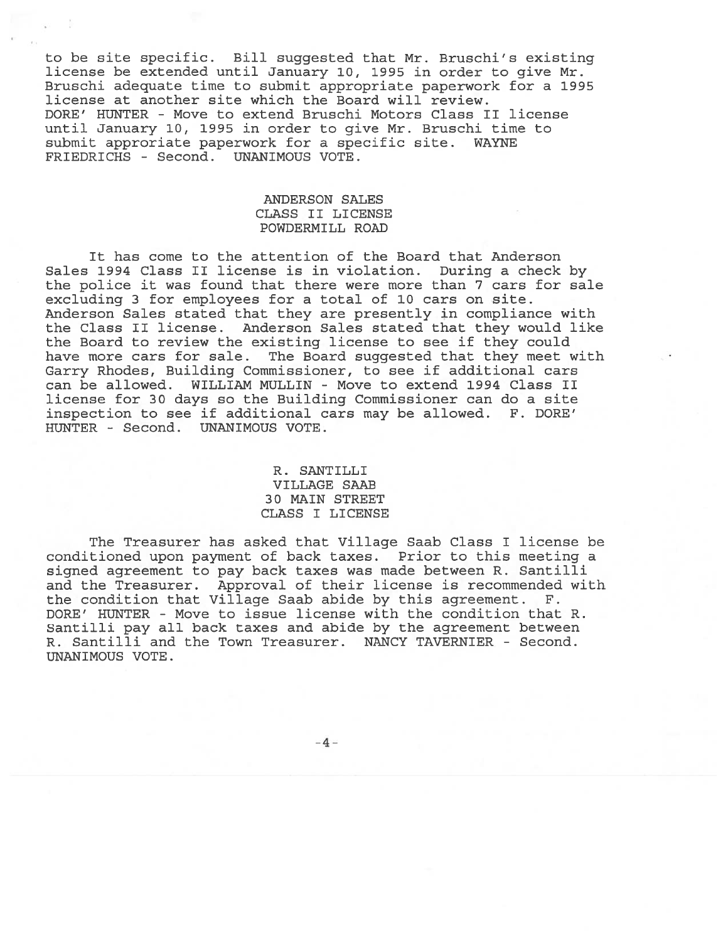to be site specific. Bill suggested that Mr. Bruschi's existing license be extended until January 10, 1995 in order to give Mr. Bruschi adequate time to submit appropriate paperwork for <sup>a</sup> 1995 license at another site which the Board will review. DORE' HUNTER - Move to extend Bruschi Motors Class II license until January 10, 1995 in order to give Mr. Bruschi time to submit approriate paperwork for <sup>a</sup> specific site. WAYNE FRIEDRICHS - Second. UNANIMOUS VOTE.

# ANDERSON SALES CLASS II LICENSE POWDERMILL ROAD

It has come to the attention of the Board that Anderson Sales 1994 Class II license is in violation. During <sup>a</sup> check by the police it was found that there were more than 7 cars for sale excluding 3 for employees for <sup>a</sup> total of 10 cars on site. Anderson Sales stated that they are presently in compliance with the Class II license. Anderson Sales stated that they would like the Board to review the existing license to see if they could have more cars for sale. The Board suggested that they meet with Garry Rhodes, Building Commissioner, to see if additional cars can be allowed. WILLIAN MULLIN - Move to extend 1994 Class II license for 30 days so the Building Commissioner can do <sup>a</sup> site inspection to see if additional cars may be allowed. F. DORE' HUNTER - Second. UNANIMOUS VOTE.

# R. SANTILLI VILLAGE SAAB 30 MAIN STREET CLASS I LICENSE

The Treasurer has asked that Village Saab Class I license be conditioned upon paymen<sup>t</sup> of back taxes. Prior to this meeting <sup>a</sup> signed agreemen<sup>t</sup> to pay back taxes was made between R. Santilli and the Treasurer. Approval of their license is recommended with the condition that Village Saab abide by this agreement. F. DORE' HUNTER - Move to issue license with the condition that R. Santilli pay all back taxes and abide by the agreemen<sup>t</sup> between R. Santilli and the Town Treasurer. NANCY TAVERNIER - Second. UNANIMOUS VOTE.

-4-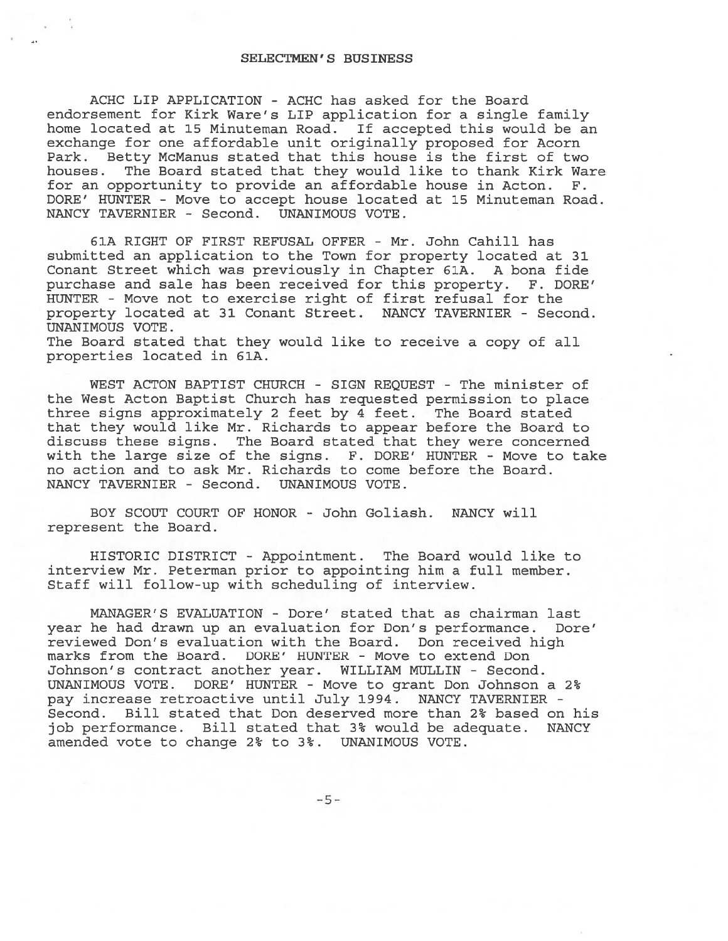## SELECTMEN'S BUSINESS

ACHC LIP APPLICATION - ACHC has asked for the Board endorsement for Kirk Ware's LIP application for <sup>a</sup> single family home located at 15 Minuteman Road. If accepted this would be an exchange for one affordable unit originally proposed for Acorn Park. Betty McManus stated that this house is the first of two houses. The Board stated that they would like to thank Kirk Ware for an opportunity to provide an affordable house in Acton. F. DORE' HUNTER - Move to accep<sup>t</sup> house located at 15 Minuteman Road. NANCY TAVERNIER - Second. UNANIMOUS VOTE.

61A RIGHT OF FIRST REFUSAL OFFER - Mr. John Cahill has submitted an application to the Town for property located at 31 Conant Street which was previously in Chapter 61A. A bona fide purchase and sale has been received for this property. F. DORE' HUNTER - Move not to exercise right of first refusal for the property located at 31 Conant Street. NANCY TAVERNIER - Second. UNANIMOUS VOTE.

The Board stated that they would like to receive <sup>a</sup> copy of all properties located in 61A.

WEST ACTON BAPTIST CHURCH - SIGN REQUEST - The minister of the West Acton Baptist Church has requested permission to place three signs approximately 2 feet by 4 feet. The Board stated that they would like Mr. Richards to appear before the Board to discuss these signs. The Board stated that they were concerned with the large size of the signs. F. DORE' HUNTER - Move to take no action and to ask Mr. Richards to come before the Board. NANCY TAVERNIER - Second. UNANIMOUS VOTE.

BOY SCOUT COURT OF HONOR - John Goliash. NANCY will represen<sup>t</sup> the Board.

HISTORIC DISTRICT - Appointment. The Board would like to interview Mr. Peterman prior to appointing him <sup>a</sup> full member. Staff will follow-up with scheduling of interview.

MANAGER'S EVALUATION - Dore' stated that as chairman last year he had drawn up an evaluation for Don's performance. Dore' reviewed Don's evaluation with the Board. Don received high marks from the Board. DORE' HUNTER - Move to extend Don Johnson's contract another year. WILLIAM MULLIN - Second. UNANIMOUS VOTE. DORE' HUNTER - Move to gran<sup>t</sup> Don Johnson <sup>a</sup> 2 pay increase retroactive until July 1994. NANCY TAVERNIER - Second. Bill stated that Don deserved more than 2% based on his job performance. Bill stated that 3% would be adequate. NANCY amended vote to change 2% to 3%. UNANIMOUS VOTE.

-5-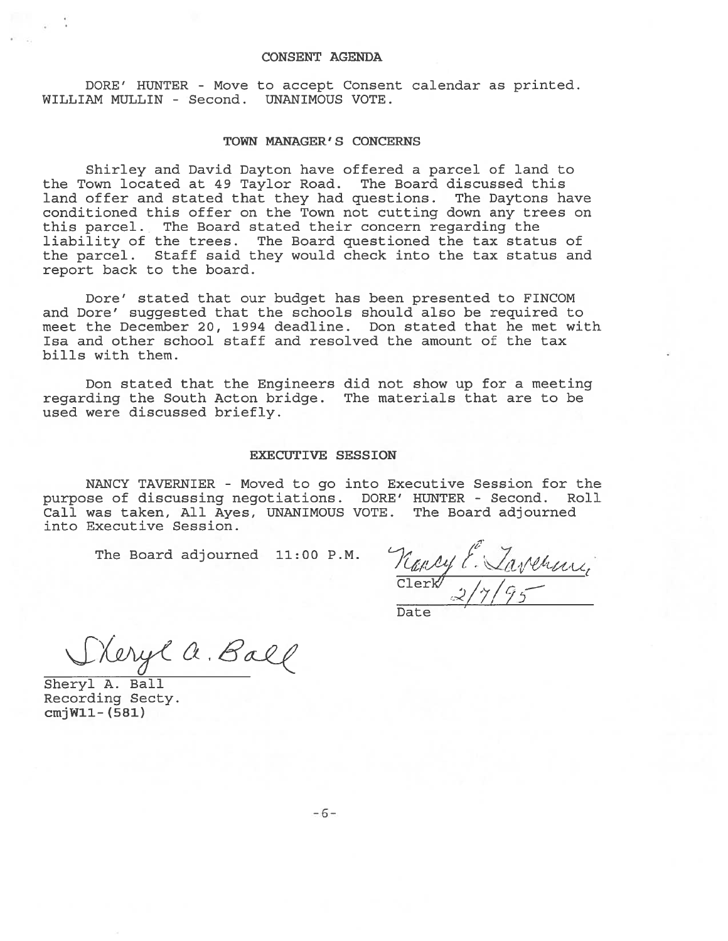#### CONSENT AGENDA

DORE' HUNTER - Move to accept Consent calendar as printed. WILLIAM MULLIN - Second. UNANIMOUS VOTE.

#### TOWN MANAGER' S CONCERNS

Shirley and David Dayton have offered <sup>a</sup> parcel of land to the Town located at 49 Taylor Road. The Board discussed this land offer and stated that they had questions. The Daytons have conditioned this offer on the Town not cutting down any trees on this parcel. The Board stated their concern regarding the liability of the trees. The Board questioned the tax status of the parcel. Staff said they would check into the tax status and repor<sup>t</sup> back to the board.

Dore' stated that our budget has been presented to FINCOM and Dore' suggested that the schools should also be required to meet the December 20, 1994 deadline. Don stated that he met with Isa and other school staff and resolved the amount of the tax bills with them.

Don stated that the Engineers did not show up for <sup>a</sup> meeting regarding the South Acton bridge. The materials that are to be used were discussed briefly.

#### EXECUTIVE SESSION

NANCY TAVERNIER - Moved to go into Executive Session for the purpose of discussing negotiations. DORE' HUNTER - Second. Roll Call was taken, All Ayes, UNANIMOUS VOTE. The Board adjourned into Executive Session.

The Board adjourned 11:00 P.M.

/ Clerk $\frac{2}{17/95}$ Date

Steryl a. Ball

Sheryl A. Ball Recording Secty. cmjWll- (581)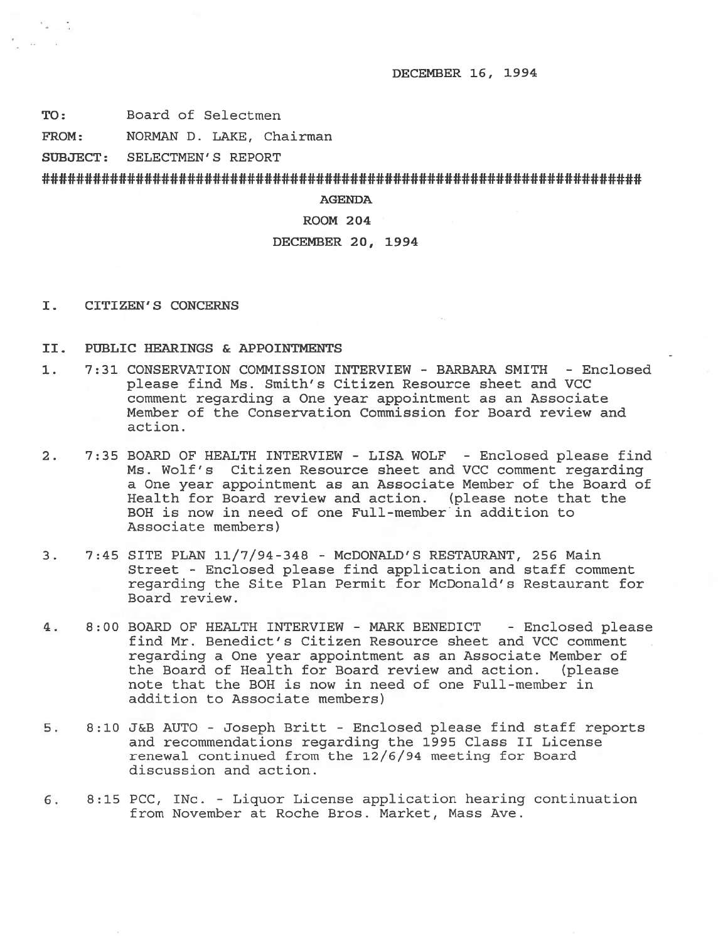DECEMBER 16, 1994

TO: Board of Selectmen

 $\sim$   $\sim$  $\sim$ 

FROM: NORMAN D. LAKE, Chairman

SUBJECT: SELECTMEN'S REPORT

# ######################################################################

AGENDA

### ROOM 204

## DECEMBER 20, 1994

I. CITIZEN'S CONCERNS

## II. PUBLIC HEARINGS & APPOINTMEN'IS

- 1. 7:31 CONSERVATION COMMISSION INTERVIEW BARBARA SMITH Enclosed please find Ms. Smith's Citizen Resource sheet and VCC comment regarding <sup>a</sup> One year appointment as an Associate Member of the Conservation Commission for Board review and action.
- 2. 7:35 BOARD OF HEALTH INTERVIEW LISA WOLF Enclosed please find Ms. Wolf's Citizen Resource sheet and VCC comment regarding <sup>a</sup> One year appointment as an Associate Member of the Board of Health for Board review and action. (please note that the BOH is now in need of one Full-member in addition to Associate members)
- 3. 7:45 SITE PLAN 11/7/94-348 McDONALD'S RESTAURANT, 256 Main Street - Enclosed please find application and staff comment regarding the Site Plan Permit for McDonald's Restaurant for Board review.
- 4. 8:00 BOARD OF HEALTH INTERVIEW MARK BENEDICT Enclosed please find Mr. Benedict's Citizen Resource sheet and VCC comment regarding <sup>a</sup> One year appointment as an Associate Member of the Board of Health for Board review and action. (please note that the BOH is now in need of one Full-member in addition to Associate members)
- 5. 8:10 J&3 AUTO Joseph Britt Enclosed please find staff reports and recommendations regarding the 1995 Class II License renewal continued from the 12/6/94 meeting for Board discussion and action.
- 6. 8:15 PCC, INc. Liquor License application hearing continuation from November at Roche Bros. Market, Mass Ave.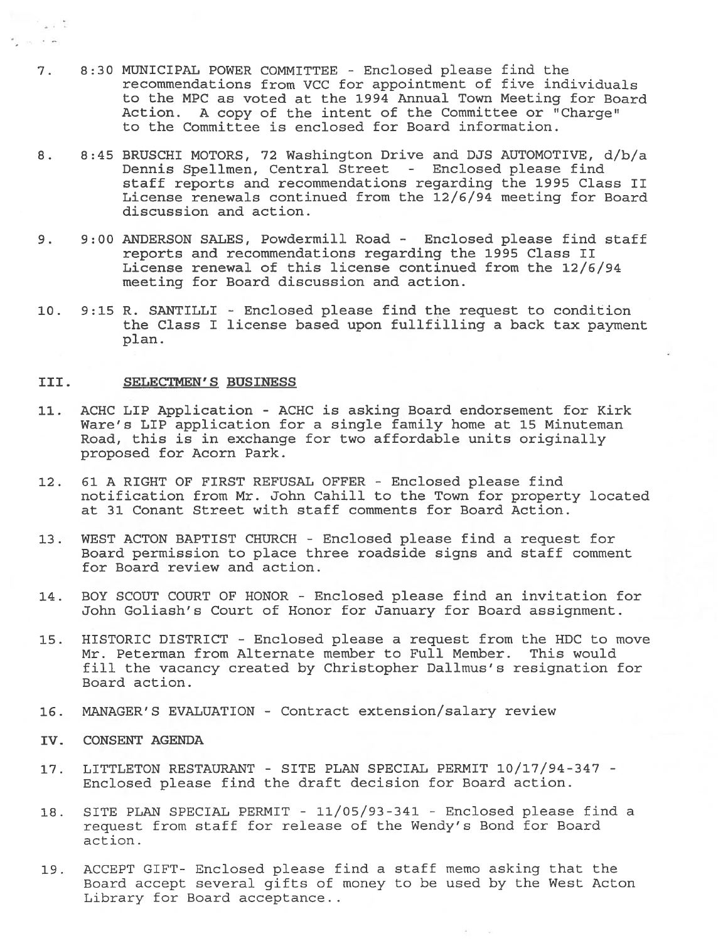- 7. 8:30 MUNICIPAL POWER COMMITTEE Enclosed please find the recommendations from VCC for appointment of five individuals to the MPC as voted at the 1994 Annual Town Meeting for Board Action. A copy of the intent of the Committee or "Charge" to the Committee is enclosed for Board information.
- 8. 8:45 BRUSCHI MOTORS, 72 Washington Drive and DJS AUTOMOTIVE, d/b/a Dennis Spelimen, Central Street - Enclosed please find staff reports and recommendations regarding the 1995 Class II License renewals continued from the 12/6/94 meeting for Board discussion and action.
- 9. 9:00 ANDERSON SALES, Powdermill Road Enclosed please find staff reports and recommendations regarding the 1995 Class II License renewal of this license continued from the 12/6/94 meeting for Board discussion and action.
- 10. 9:15 R. SANTILLI Enclosed please find the reques<sup>t</sup> to condition the Class I license based upon fullfilling <sup>a</sup> back tax paymen<sup>t</sup> plan.

#### III. SELECTMEN'S BUSINESS

 $\sim 10^{-14}$ 

- 11. ACHC LIP Application ACHC is asking Board endorsement for Kirk Ware's LIP application for <sup>a</sup> single family home at 15 Minuteman Road, this is in exchange for two affordable units originally proposed for Acorn Park.
- 12. 61 A RIGHT OF FIRST REFUSAL OFFER Enclosed please find notification from Mr. John Cahill to the Town for property located at 31 Conant Street with staff comments for Board Action.
- 13. WEST ACTON BAPTIST CHURCH Enclosed please find <sup>a</sup> reques<sup>t</sup> for Board permission to place three roadside signs and staff comment for Board review and action.
- 14. BOY SCOUT COURT OF HONOR Enclosed please find an invitation for John Goliash's Court of Honor for January for Board assignment.
- 15. HISTORIC DISTRICT Enclosed please <sup>a</sup> reques<sup>t</sup> from the HDC to move Mr. Peterman from Alternate member to Full Member. This would fill the vacancy created by Christopher Dallmus's resignation for Board action.
- 16. MANAGER'S EVALUATION Contract extension/salary review
- IV. CONSENT AGENDA
- 17. LITTLETON RESTAURANT SITE PLAN SPECIAL PERMIT 10/17/94-347 Enclosed please find the draft decision for Board action.
- 18. SITE PLAN SPECIAL PERMIT 11/05/93-341 -Enclosed please find <sup>a</sup> reques<sup>t</sup> from staff for release of the Wendy's Bond for Board action.
- 19. ACCEPT GIFT- Enclosed please find <sup>a</sup> staff memo asking that the Board accep<sup>t</sup> several gifts of money to be used by the West Acton Library for Board acceptance.